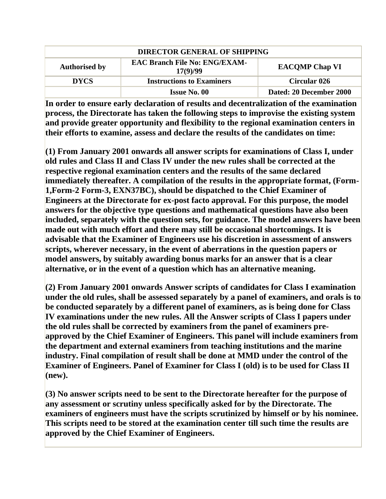| <b>DIRECTOR GENERAL OF SHIPPING</b> |                                                  |                         |
|-------------------------------------|--------------------------------------------------|-------------------------|
| <b>Authorised by</b>                | <b>EAC Branch File No: ENG/EXAM-</b><br>17(9)/99 | <b>EACOMP Chap VI</b>   |
| <b>DYCS</b>                         | <b>Instructions to Examiners</b>                 | <b>Circular 026</b>     |
|                                     | <b>Issue No. 00</b>                              | Dated: 20 December 2000 |

**In order to ensure early declaration of results and decentralization of the examination process, the Directorate has taken the following steps to improvise the existing system and provide greater opportunity and flexibility to the regional examination centers in their efforts to examine, assess and declare the results of the candidates on time:**

**(1) From January 2001 onwards all answer scripts for examinations of Class I, under old rules and Class II and Class IV under the new rules shall be corrected at the respective regional examination centers and the results of the same declared immediately thereafter. A compilation of the results in the appropriate format, (Form-1,Form-2 Form-3, EXN37BC), should be dispatched to the Chief Examiner of Engineers at the Directorate for ex-post facto approval. For this purpose, the model answers for the objective type questions and mathematical questions have also been included, separately with the question sets, for guidance. The model answers have been made out with much effort and there may still be occasional shortcomings. It is advisable that the Examiner of Engineers use his discretion in assessment of answers scripts, wherever necessary, in the event of aberrations in the question papers or model answers, by suitably awarding bonus marks for an answer that is a clear alternative, or in the event of a question which has an alternative meaning.**

**(2) From January 2001 onwards Answer scripts of candidates for Class I examination under the old rules, shall be assessed separately by a panel of examiners, and orals is to be conducted separately by a different panel of examiners, as is being done for Class IV examinations under the new rules. All the Answer scripts of Class I papers under the old rules shall be corrected by examiners from the panel of examiners preapproved by the Chief Examiner of Engineers. This panel will include examiners from the department and external examiners from teaching institutions and the marine industry. Final compilation of result shall be done at MMD under the control of the Examiner of Engineers. Panel of Examiner for Class I (old) is to be used for Class II (new).**

**(3) No answer scripts need to be sent to the Directorate hereafter for the purpose of any assessment or scrutiny unless specifically asked for by the Directorate. The examiners of engineers must have the scripts scrutinized by himself or by his nominee. This scripts need to be stored at the examination center till such time the results are approved by the Chief Examiner of Engineers.**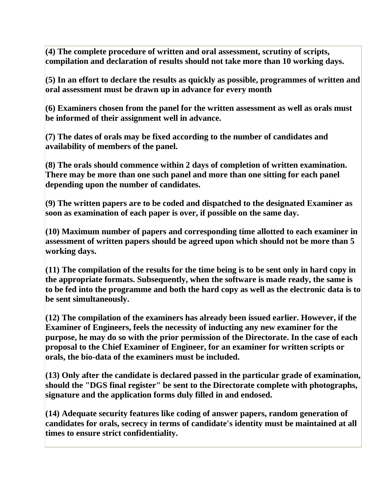**(4) The complete procedure of written and oral assessment, scrutiny of scripts, compilation and declaration of results should not take more than 10 working days.**

**(5) In an effort to declare the results as quickly as possible, programmes of written and oral assessment must be drawn up in advance for every month**

**(6) Examiners chosen from the panel for the written assessment as well as orals must be informed of their assignment well in advance.**

**(7) The dates of orals may be fixed according to the number of candidates and availability of members of the panel.**

**(8) The orals should commence within 2 days of completion of written examination. There may be more than one such panel and more than one sitting for each panel depending upon the number of candidates.**

**(9) The written papers are to be coded and dispatched to the designated Examiner as soon as examination of each paper is over, if possible on the same day.**

**(10) Maximum number of papers and corresponding time allotted to each examiner in assessment of written papers should be agreed upon which should not be more than 5 working days.**

**(11) The compilation of the results for the time being is to be sent only in hard copy in the appropriate formats. Subsequently, when the software is made ready, the same is to be fed into the programme and both the hard copy as well as the electronic data is to be sent simultaneously.**

**(12) The compilation of the examiners has already been issued earlier. However, if the Examiner of Engineers, feels the necessity of inducting any new examiner for the purpose, he may do so with the prior permission of the Directorate. In the case of each proposal to the Chief Examiner of Engineer, for an examiner for written scripts or orals, the bio-data of the examiners must be included.**

**(13) Only after the candidate is declared passed in the particular grade of examination, should the "DGS final register" be sent to the Directorate complete with photographs, signature and the application forms duly filled in and endosed.**

**(14) Adequate security features like coding of answer papers, random generation of candidates for orals, secrecy in terms of candidate's identity must be maintained at all times to ensure strict confidentiality.**